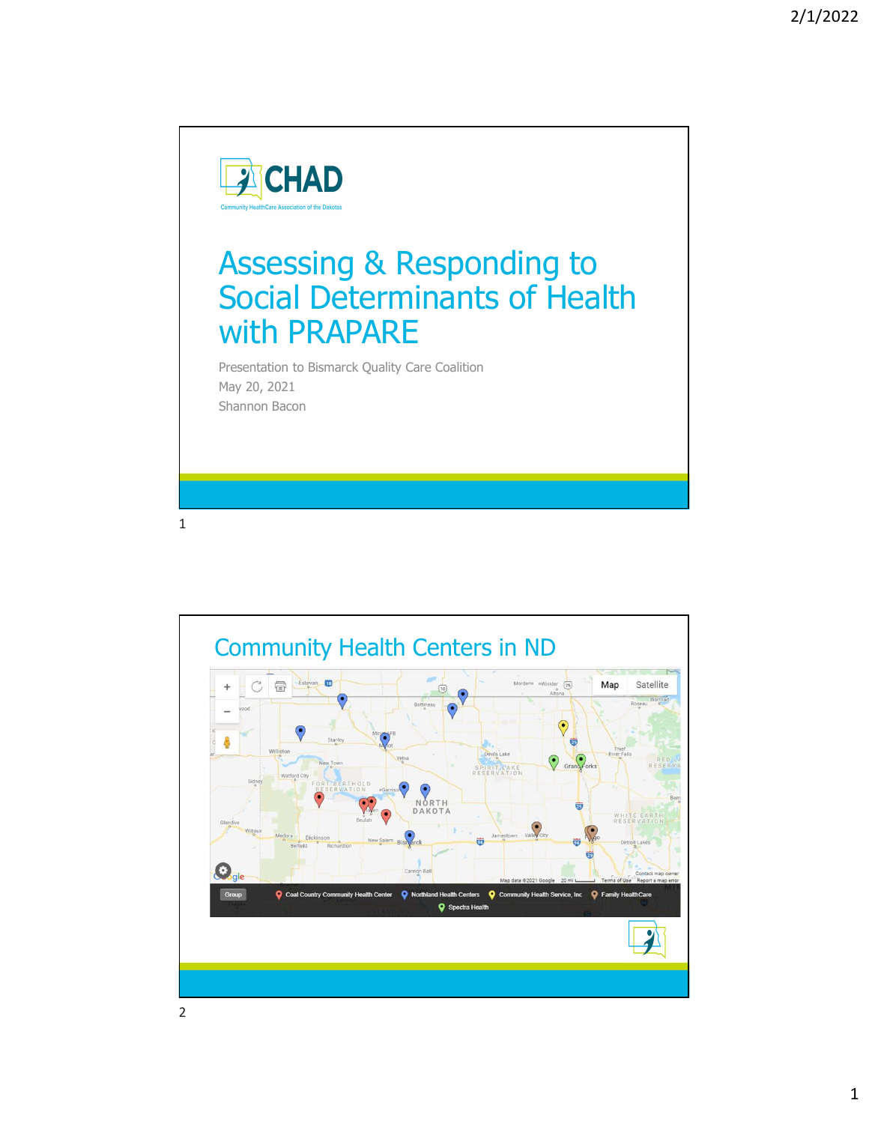

## Assessing & Responding to Social Determinants of Health with PRAPARE

Presentation to Bismarck Quality Care Coalition May 20, 2021 Shannon Bacon

 $1$ 

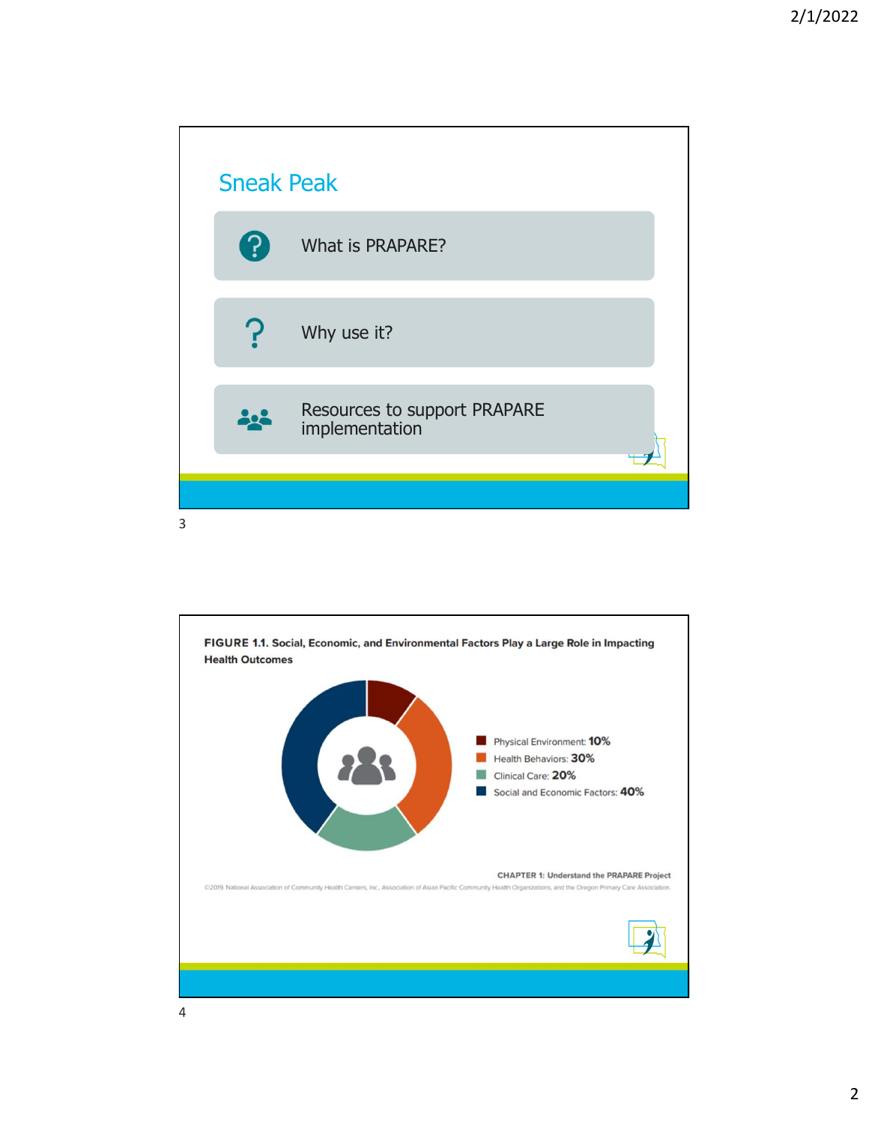

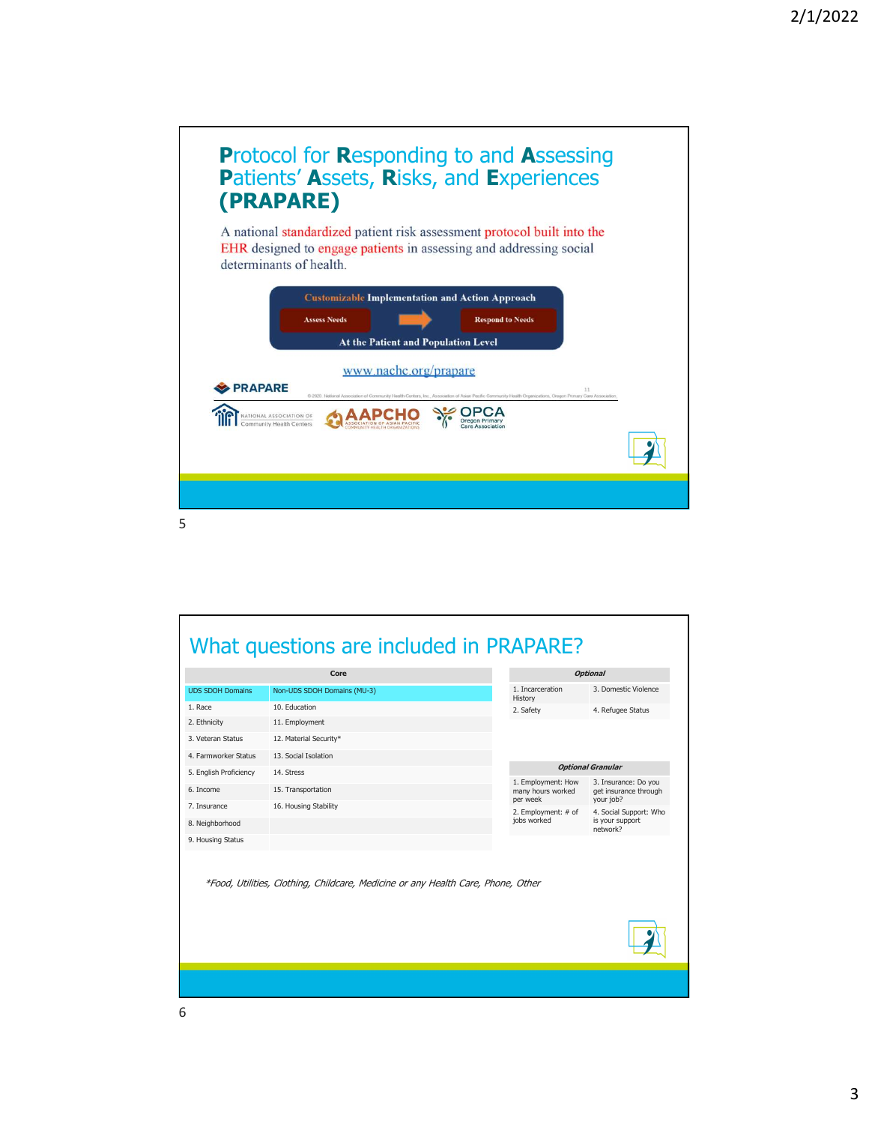

|                         | OPCA<br>NATIONAL ASSOCIATION OF<br>Oregon Primary<br>Community Health Centers<br>Care Association |                                         |                                               |  |
|-------------------------|---------------------------------------------------------------------------------------------------|-----------------------------------------|-----------------------------------------------|--|
|                         |                                                                                                   |                                         |                                               |  |
|                         |                                                                                                   |                                         |                                               |  |
|                         |                                                                                                   |                                         |                                               |  |
|                         |                                                                                                   |                                         |                                               |  |
|                         |                                                                                                   |                                         |                                               |  |
|                         |                                                                                                   |                                         |                                               |  |
|                         |                                                                                                   |                                         |                                               |  |
|                         | What questions are included in PRAPARE?                                                           |                                         |                                               |  |
|                         | Core<br><b>Optional</b>                                                                           |                                         |                                               |  |
| <b>UDS SDOH Domains</b> | Non-UDS SDOH Domains (MU-3)                                                                       | 1. Incarceration                        | 3. Domestic Violence                          |  |
| 1. Race                 | 10. Education                                                                                     | History<br>2. Safety                    | 4. Refugee Status                             |  |
| 2. Ethnicity            | 11. Employment                                                                                    |                                         |                                               |  |
| 3. Veteran Status       | 12. Material Security*                                                                            |                                         |                                               |  |
| 4. Farmworker Status    | 13. Social Isolation                                                                              |                                         |                                               |  |
| 5. English Proficiency  | 14. Stress                                                                                        |                                         | <b>Optional Granular</b>                      |  |
| 6. Income               | 15. Transportation                                                                                | 1. Employment: How<br>many hours worked | 3. Insurance: Do you<br>get insurance through |  |
| 7. Insurance            | 16. Housing Stability                                                                             | per week<br>2. Employment: # of         | your job?<br>4. Social Support: Who           |  |
| 8. Neighborhood         |                                                                                                   | jobs worked                             | is your support<br>network?                   |  |
| 9. Housing Status       |                                                                                                   |                                         |                                               |  |
|                         | *Food, Utilities, Clothing, Childcare, Medicine or any Health Care, Phone, Other                  |                                         |                                               |  |
|                         |                                                                                                   |                                         |                                               |  |
|                         |                                                                                                   |                                         |                                               |  |
|                         |                                                                                                   |                                         |                                               |  |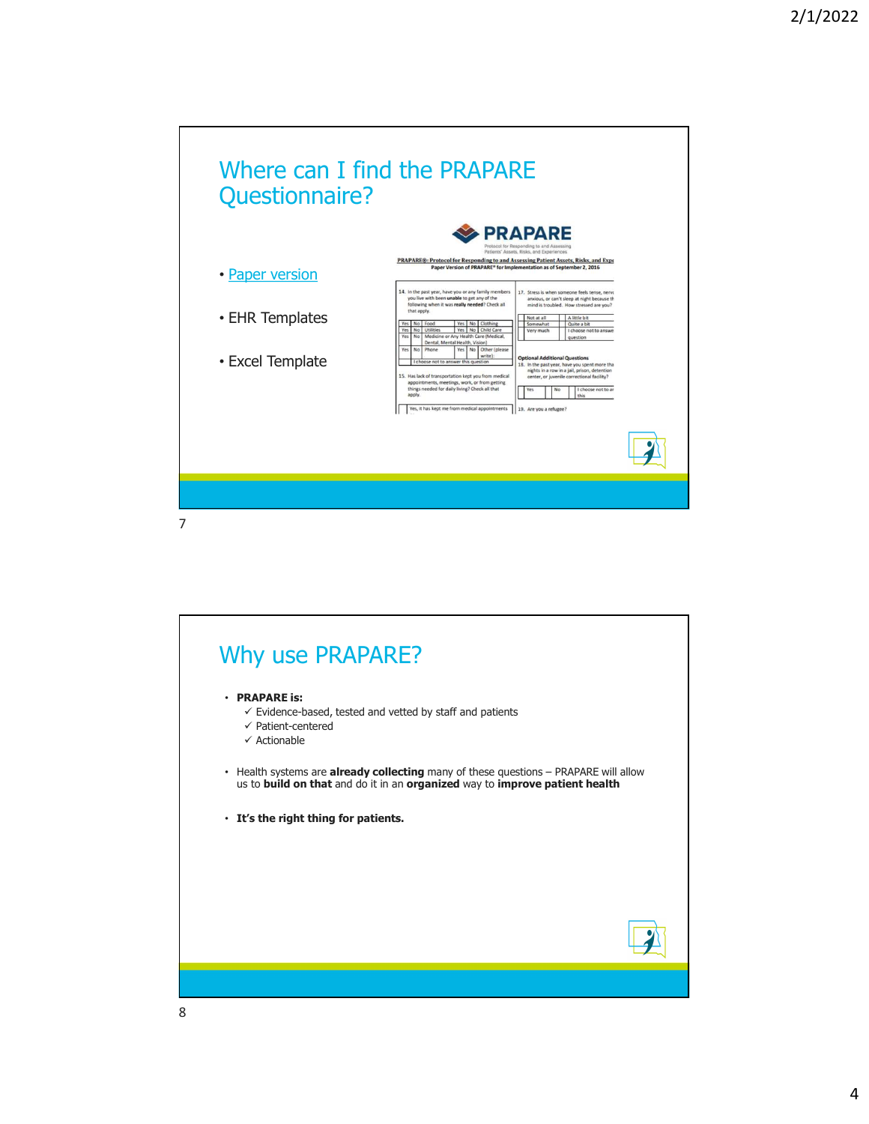

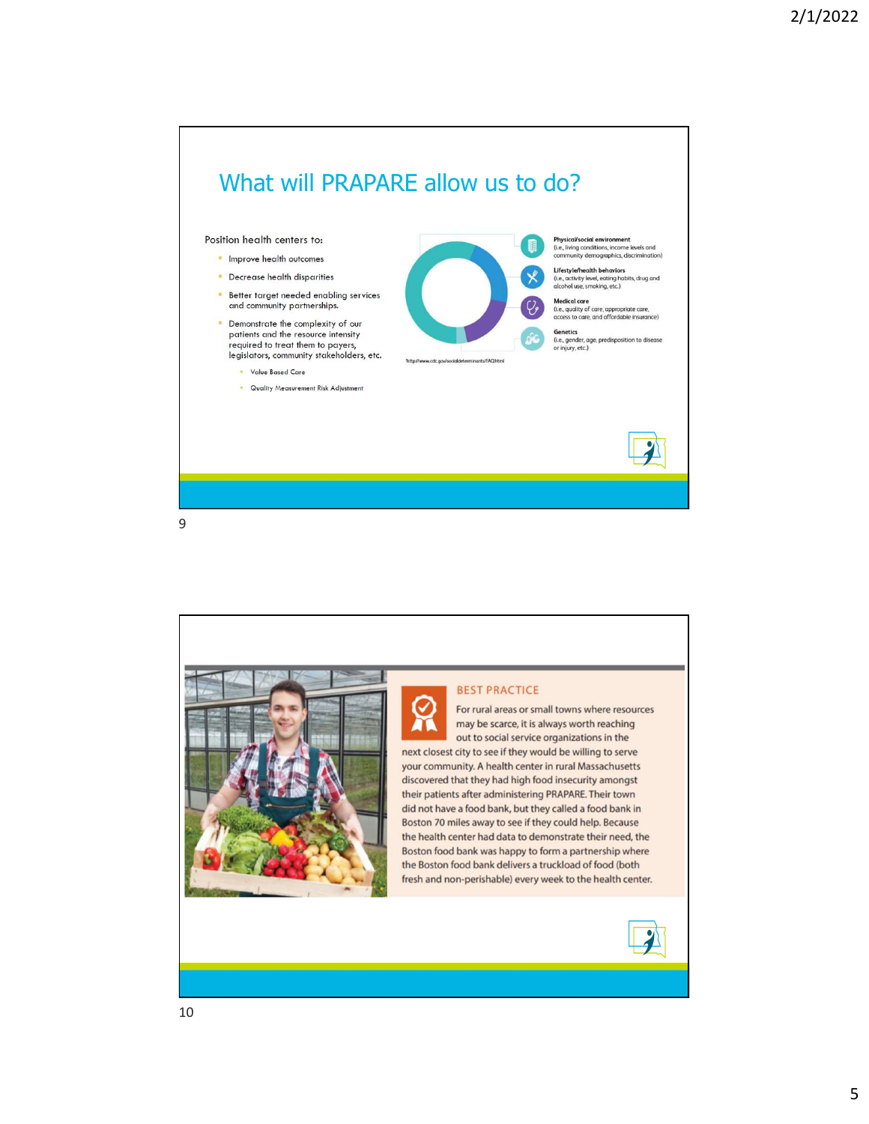

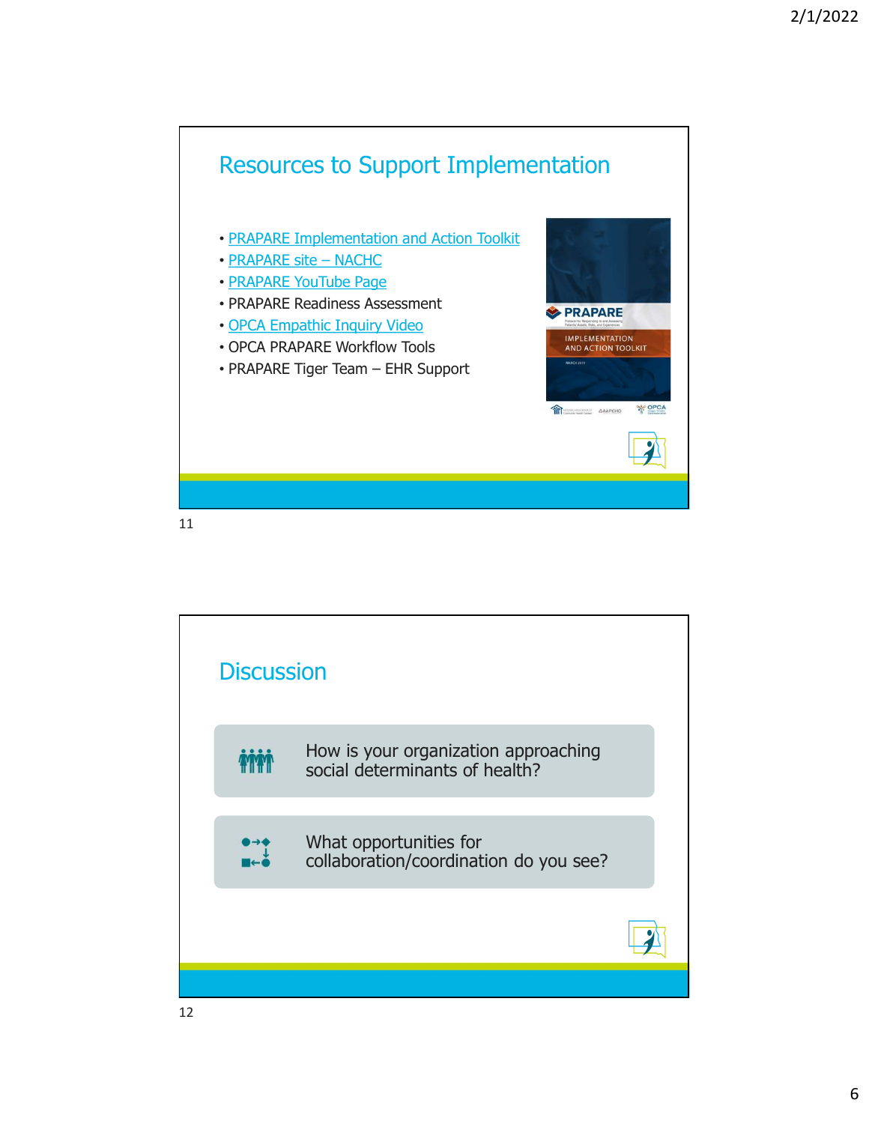